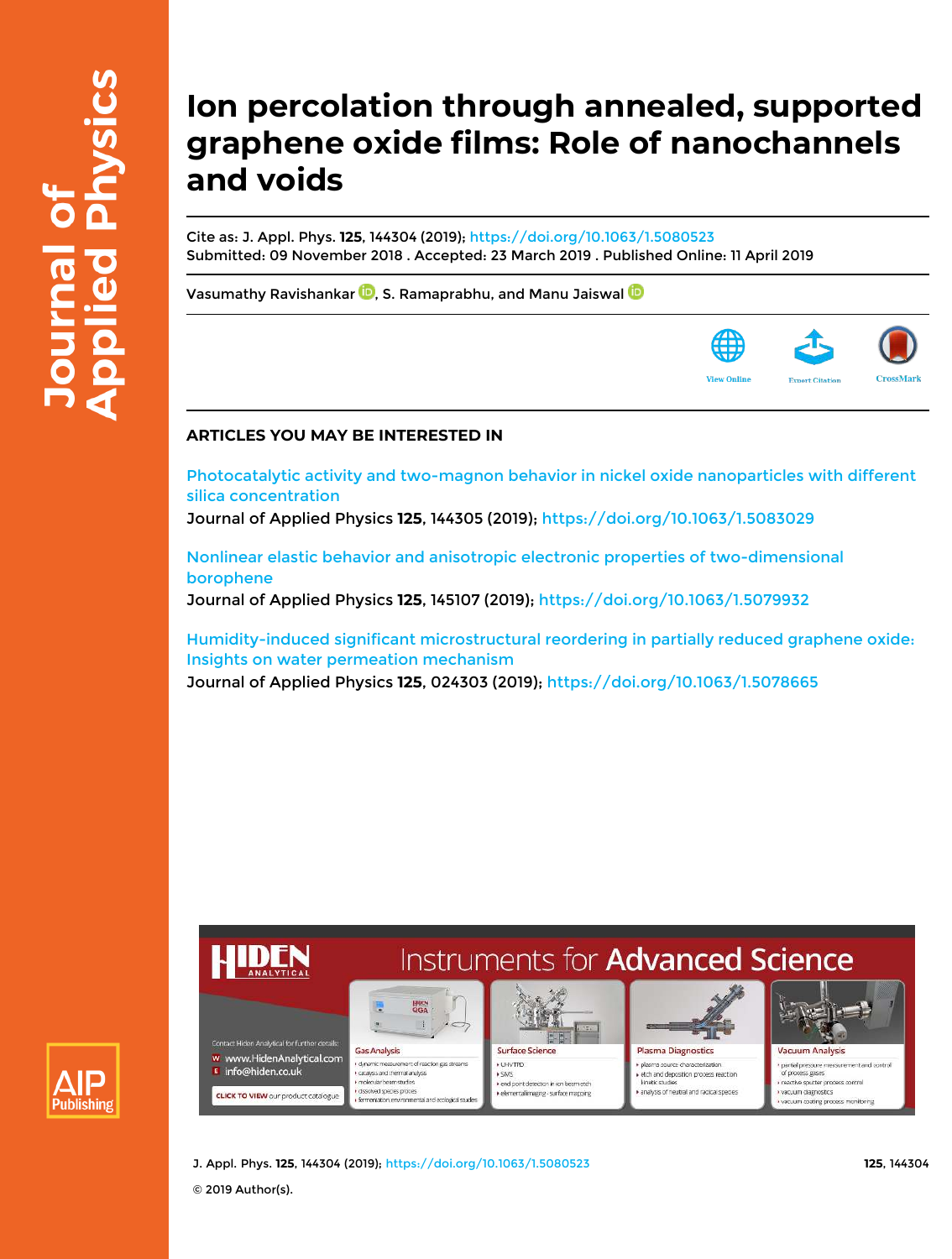# **Ion percolation through annealed, supported graphene oxide films: Role of nanochannels and voids**

Cite as: J. Appl. Phys. **125**, 144304 (2019); https://doi.org/10.1063/1.5080523 Submitted: 09 November 2018 . Accepted: 23 March 2019 . Published Online: 11 April 2019

Vasumathy Ravishankar  $\blacksquare$ , S. Ramaprabhu, and Manu Jaiswal  $\blacksquare$ 

# **ARTICLES YOU MAY BE INTERESTED IN**

Photocatalytic activity and two-magnon behavior in nickel oxide nanoparticles with different silica concentration

Journal of Applied Physics **125**, 144305 (2019); https://doi.org/10.1063/1.5083029

Nonlinear elastic behavior and anisotropic electronic properties of two-dimensional borophene Journal of Applied Physics **125**, 145107 (2019); https://doi.org/10.1063/1.5079932

Humidity-induced significant microstructural reordering in partially reduced graphene oxide: Insights on water permeation mechanism

Journal of Applied Physics **125**, 024303 (2019); https://doi.org/10.1063/1.5078665





J. Appl. Phys. **125**, 144304 (2019); https://doi.org/10.1063/1.5080523 **125**, 144304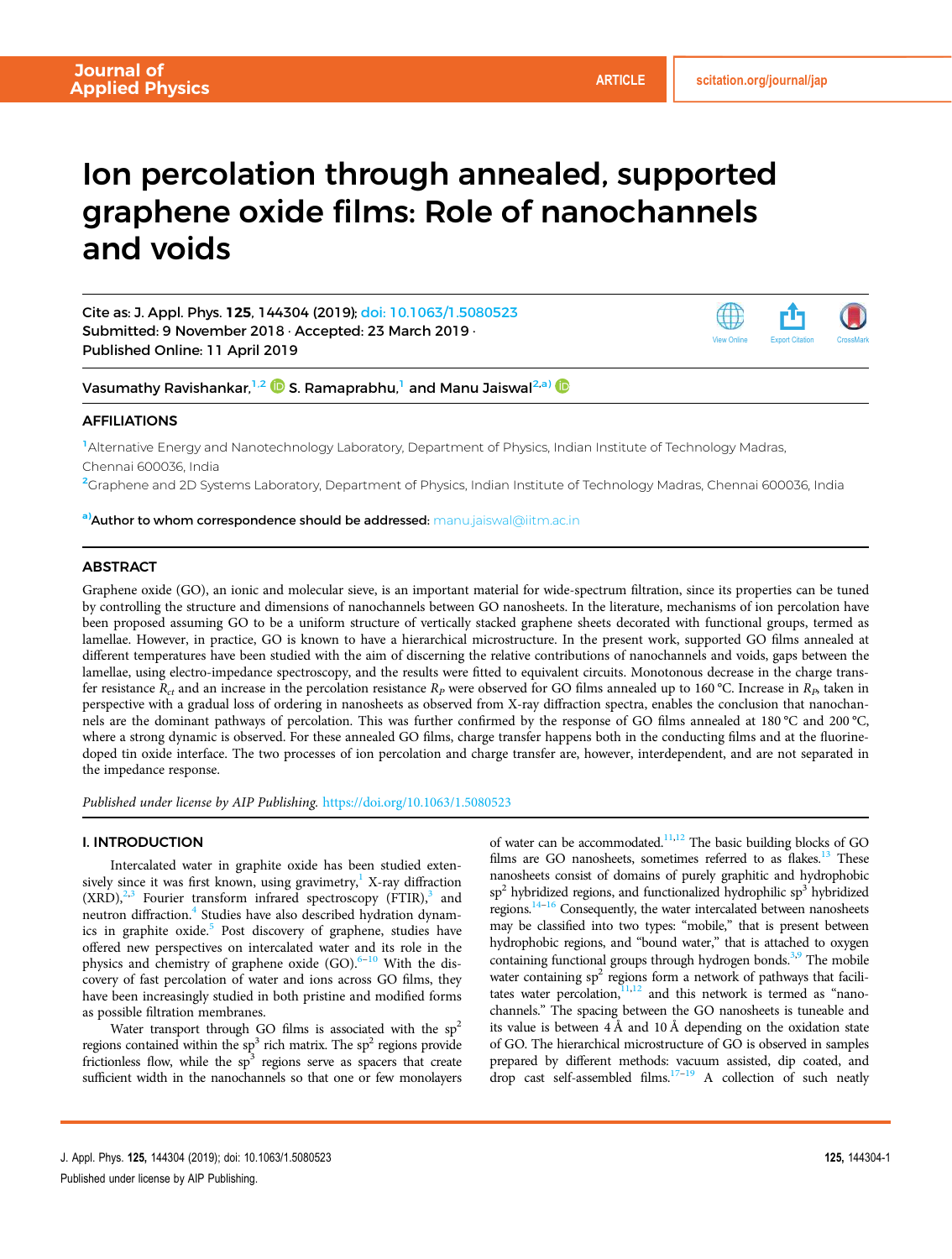# Ion percolation through annealed, supported graphene oxide films: Role of nanochannels and voids

Cite as: J. Appl. Phys. 125, 144304 (2019); doi: 10.1063/1.5080523 Submitted: 9 November 2018 · Accepted: 23 March 2019 · Published Online: 11 April 2019



Vasumathy Ravishankar,<sup>1,2</sup>  $\bullet$  S. Ramaprabhu,<sup>1</sup> and Manu Jaiswal<sup>2,a)</sup>

# AFFILIATIONS

<sup>1</sup>Alternative Energy and Nanotechnology Laboratory, Department of Physics, Indian Institute of Technology Madras, Chennai 600036, India

<sup>2</sup>Graphene and 2D Systems Laboratory, Department of Physics, Indian Institute of Technology Madras, Chennai 600036, India

a) Author to whom correspondence should be addressed: manu.jaiswal@iitm.ac.in

# **ABSTRACT**

Graphene oxide (GO), an ionic and molecular sieve, is an important material for wide-spectrum filtration, since its properties can be tuned by controlling the structure and dimensions of nanochannels between GO nanosheets. In the literature, mechanisms of ion percolation have been proposed assuming GO to be a uniform structure of vertically stacked graphene sheets decorated with functional groups, termed as lamellae. However, in practice, GO is known to have a hierarchical microstructure. In the present work, supported GO films annealed at different temperatures have been studied with the aim of discerning the relative contributions of nanochannels and voids, gaps between the lamellae, using electro-impedance spectroscopy, and the results were fitted to equivalent circuits. Monotonous decrease in the charge transfer resistance  $R_t$  and an increase in the percolation resistance  $R_p$  were observed for GO films annealed up to 160 °C. Increase in  $R_p$  taken in perspective with a gradual loss of ordering in nanosheets as observed from X-ray diffraction spectra, enables the conclusion that nanochannels are the dominant pathways of percolation. This was further confirmed by the response of GO films annealed at 180 °C and 200 °C, where a strong dynamic is observed. For these annealed GO films, charge transfer happens both in the conducting films and at the fluorinedoped tin oxide interface. The two processes of ion percolation and charge transfer are, however, interdependent, and are not separated in the impedance response.

*Published under license by AIP Publishing.* https://doi.org/10.1063/1.5080523

# I. INTRODUCTION

Intercalated water in graphite oxide has been studied extensively since it was first known, using gravimetry, $<sup>1</sup>$  X-ray diffraction</sup>  $(XRD)$ ,<sup>2,3</sup> Fourier transform infrared spectroscopy  $(FTIR)$ ,<sup>3</sup> and neutron diffraction.<sup>4</sup> Studies have also described hydration dynamics in graphite oxide.<sup>5</sup> Post discovery of graphene, studies have offered new perspectives on intercalated water and its role in the physics and chemistry of graphene oxide (GO).<sup>6-10</sup> With the discovery of fast percolation of water and ions across GO films, they have been increasingly studied in both pristine and modified forms as possible filtration membranes.

Water transport through GO films is associated with the  $sp<sup>2</sup>$ regions contained within the  $sp^3$  rich matrix. The  $sp^2$  regions provide frictionless flow, while the  $sp<sup>3</sup>$  regions serve as spacers that create sufficient width in the nanochannels so that one or few monolayers of water can be accommodated.<sup>11,12</sup> The basic building blocks of GO films are GO nanosheets, sometimes referred to as flakes.<sup>13</sup> These nanosheets consist of domains of purely graphitic and hydrophobic sp<sup>2</sup> hybridized regions, and functionalized hydrophilic sp<sup>3</sup> hybridized regions.14–<sup>16</sup> Consequently, the water intercalated between nanosheets may be classified into two types: "mobile," that is present between hydrophobic regions, and "bound water," that is attached to oxygen containing functional groups through hydrogen bonds.<sup>3,9</sup> The mobile water containing  $sp^2$  regions form a network of pathways that facilitates water percolation, $11,12$  and this network is termed as "nanochannels." The spacing between the GO nanosheets is tuneable and its value is between 4 Å and 10 Å depending on the oxidation state of GO. The hierarchical microstructure of GO is observed in samples prepared by different methods: vacuum assisted, dip coated, and drop cast self-assembled films.<sup>17-19</sup> A collection of such neatly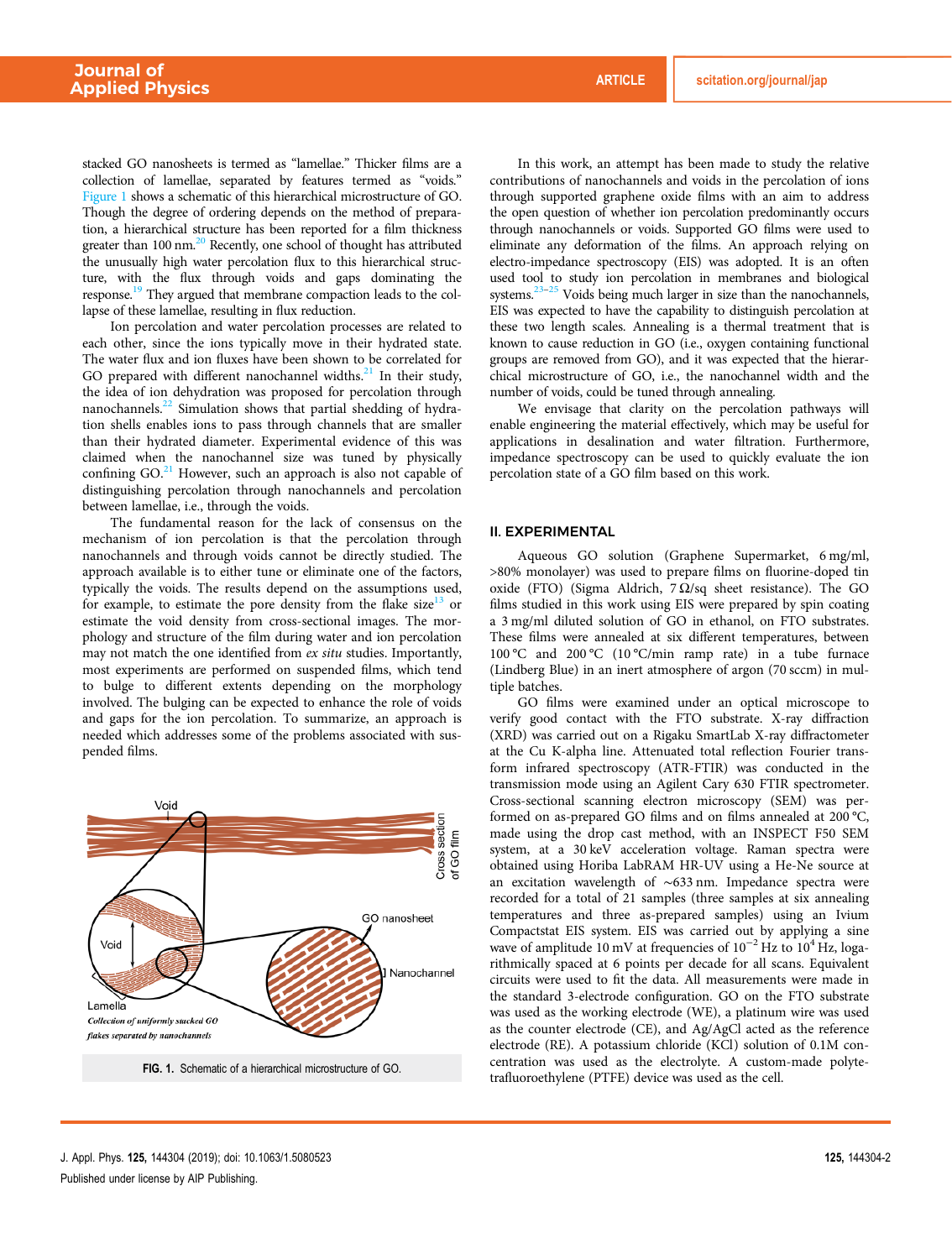stacked GO nanosheets is termed as "lamellae." Thicker films are a collection of lamellae, separated by features termed as "voids." Figure 1 shows a schematic of this hierarchical microstructure of GO. Though the degree of ordering depends on the method of preparation, a hierarchical structure has been reported for a film thickness greater than  $100 \text{ nm}$ <sup>20</sup> Recently, one school of thought has attributed the unusually high water percolation flux to this hierarchical structure, with the flux through voids and gaps dominating the response.<sup>19</sup> They argued that membrane compaction leads to the collapse of these lamellae, resulting in flux reduction.

Ion percolation and water percolation processes are related to each other, since the ions typically move in their hydrated state. The water flux and ion fluxes have been shown to be correlated for GO prepared with different nanochannel widths. $^{21}$  In their study, the idea of ion dehydration was proposed for percolation through nanochannels.<sup>22</sup> Simulation shows that partial shedding of hydration shells enables ions to pass through channels that are smaller than their hydrated diameter. Experimental evidence of this was claimed when the nanochannel size was tuned by physically confining  $GO<sup>21</sup>$  However, such an approach is also not capable of distinguishing percolation through nanochannels and percolation between lamellae, i.e., through the voids.

The fundamental reason for the lack of consensus on the mechanism of ion percolation is that the percolation through nanochannels and through voids cannot be directly studied. The approach available is to either tune or eliminate one of the factors, typically the voids. The results depend on the assumptions used, for example, to estimate the pore density from the flake size<sup>13</sup> or estimate the void density from cross-sectional images. The morphology and structure of the film during water and ion percolation may not match the one identified from *ex situ* studies. Importantly, most experiments are performed on suspended films, which tend to bulge to different extents depending on the morphology involved. The bulging can be expected to enhance the role of voids and gaps for the ion percolation. To summarize, an approach is needed which addresses some of the problems associated with suspended films.



In this work, an attempt has been made to study the relative contributions of nanochannels and voids in the percolation of ions through supported graphene oxide films with an aim to address the open question of whether ion percolation predominantly occurs through nanochannels or voids. Supported GO films were used to eliminate any deformation of the films. An approach relying on electro-impedance spectroscopy (EIS) was adopted. It is an often used tool to study ion percolation in membranes and biological systems.<sup>23–25</sup> Voids being much larger in size than the nanochannels, EIS was expected to have the capability to distinguish percolation at these two length scales. Annealing is a thermal treatment that is known to cause reduction in GO (i.e., oxygen containing functional groups are removed from GO), and it was expected that the hierarchical microstructure of GO, i.e., the nanochannel width and the number of voids, could be tuned through annealing.

We envisage that clarity on the percolation pathways will enable engineering the material effectively, which may be useful for applications in desalination and water filtration. Furthermore, impedance spectroscopy can be used to quickly evaluate the ion percolation state of a GO film based on this work.

#### II. EXPERIMENTAL

Aqueous GO solution (Graphene Supermarket, 6 mg/ml, >80% monolayer) was used to prepare films on fluorine-doped tin oxide (FTO) (Sigma Aldrich, 7 Ω/sq sheet resistance). The GO films studied in this work using EIS were prepared by spin coating a 3 mg/ml diluted solution of GO in ethanol, on FTO substrates. These films were annealed at six different temperatures, between 100 °C and 200 °C (10 °C/min ramp rate) in a tube furnace (Lindberg Blue) in an inert atmosphere of argon (70 sccm) in multiple batches.

GO films were examined under an optical microscope to verify good contact with the FTO substrate. X-ray diffraction (XRD) was carried out on a Rigaku SmartLab X-ray diffractometer at the Cu K-alpha line. Attenuated total reflection Fourier transform infrared spectroscopy (ATR-FTIR) was conducted in the transmission mode using an Agilent Cary 630 FTIR spectrometer. Cross-sectional scanning electron microscopy (SEM) was performed on as-prepared GO films and on films annealed at 200 °C, made using the drop cast method, with an INSPECT F50 SEM system, at a 30 keV acceleration voltage. Raman spectra were obtained using Horiba LabRAM HR-UV using a He-Ne source at an excitation wavelength of ∼633 nm. Impedance spectra were recorded for a total of 21 samples (three samples at six annealing temperatures and three as-prepared samples) using an Ivium Compactstat EIS system. EIS was carried out by applying a sine wave of amplitude 10 mV at frequencies of  $10^{-2}$  Hz to  $10^4$  Hz, logarithmically spaced at 6 points per decade for all scans. Equivalent circuits were used to fit the data. All measurements were made in the standard 3-electrode configuration. GO on the FTO substrate was used as the working electrode (WE), a platinum wire was used as the counter electrode (CE), and Ag/AgCl acted as the reference electrode (RE). A potassium chloride (KCl) solution of 0.1M concentration was used as the electrolyte. A custom-made polyte-FIG. 1. Schematic of a hierarchical microstructure of GO.<br>
trafluoroethylene (PTFE) device was used as the cell.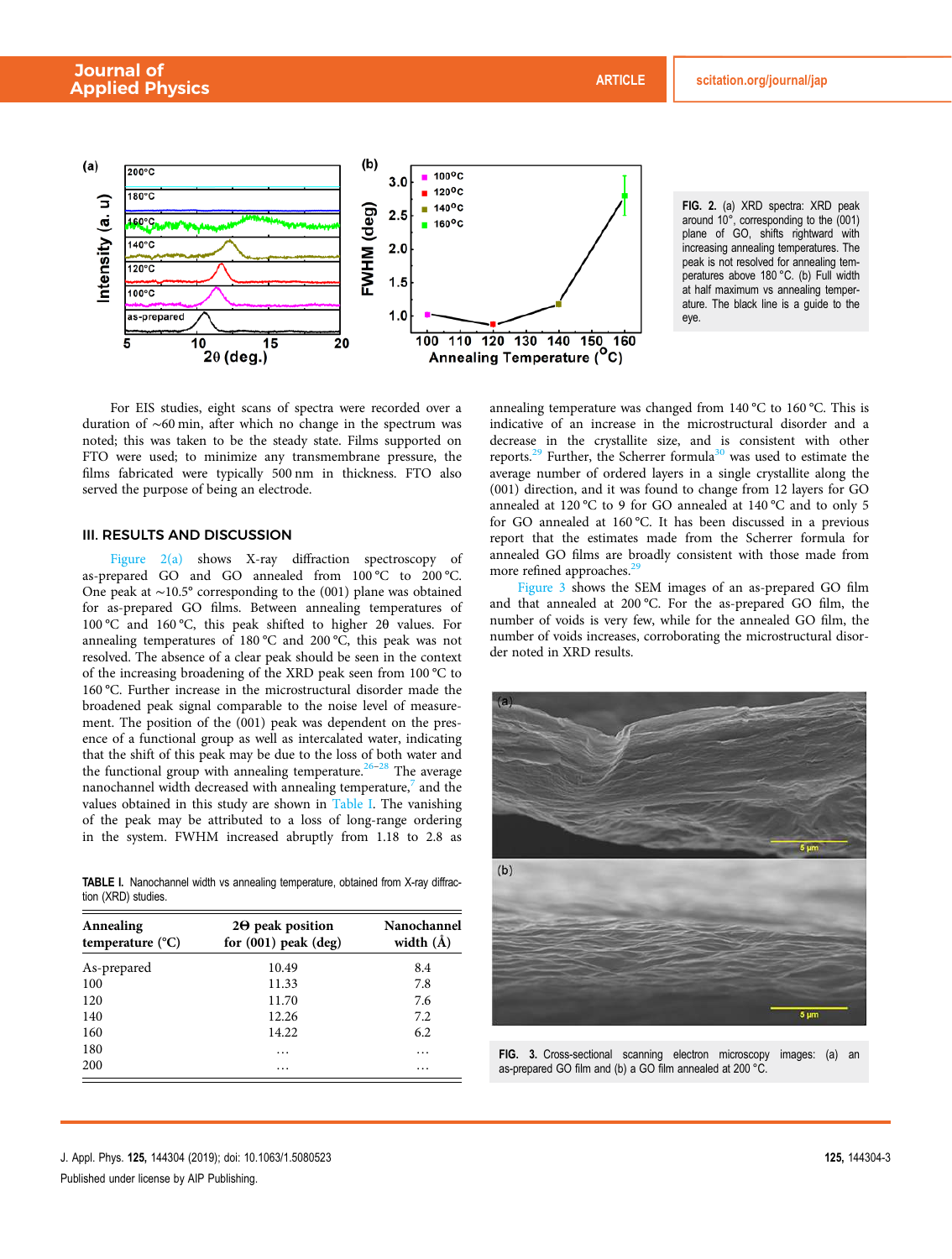

FIG. 2. (a) XRD spectra: XRD peak around 10°, corresponding to the (001) plane of GO, shifts rightward with increasing annealing temperatures. The peak is not resolved for annealing temperatures above 180 °C. (b) Full width at half maximum vs annealing temperature. The black line is a guide to the eye.

For EIS studies, eight scans of spectra were recorded over a duration of ∼60 min, after which no change in the spectrum was noted; this was taken to be the steady state. Films supported on FTO were used; to minimize any transmembrane pressure, the films fabricated were typically 500 nm in thickness. FTO also served the purpose of being an electrode.

# III. RESULTS AND DISCUSSION

Figure 2(a) shows X-ray diffraction spectroscopy of as-prepared GO and GO annealed from 100 °C to 200 °C. One peak at ∼10.5° corresponding to the (001) plane was obtained for as-prepared GO films. Between annealing temperatures of 100 °C and 160 °C, this peak shifted to higher 2θ values. For annealing temperatures of 180 °C and 200 °C, this peak was not resolved. The absence of a clear peak should be seen in the context of the increasing broadening of the XRD peak seen from 100 °C to 160 °C. Further increase in the microstructural disorder made the broadened peak signal comparable to the noise level of measurement. The position of the (001) peak was dependent on the presence of a functional group as well as intercalated water, indicating that the shift of this peak may be due to the loss of both water and the functional group with annealing temperature.<sup>26–28</sup> The average nanochannel width decreased with annealing temperature, $\frac{7}{7}$  and the values obtained in this study are shown in Table I. The vanishing of the peak may be attributed to a loss of long-range ordering in the system. FWHM increased abruptly from 1.18 to 2.8 as

TABLE I. Nanochannel width vs annealing temperature, obtained from X-ray diffraction (XRD) studies.

| Annealing<br>temperature $(^{\circ}C)$ | $2\Theta$ peak position<br>for $(001)$ peak $(\text{deg})$ | Nanochannel<br>width $(\AA)$ |
|----------------------------------------|------------------------------------------------------------|------------------------------|
| As-prepared                            | 10.49                                                      | 8.4                          |
| 100                                    | 11.33                                                      | 7.8                          |
| 120                                    | 11.70                                                      | 7.6                          |
| 140                                    | 12.26                                                      | 7.2                          |
| 160                                    | 14.22                                                      | 6.2                          |
| 180                                    | .                                                          | .                            |
| 200                                    | $\cdots$                                                   | .                            |

annealing temperature was changed from 140 °C to 160 °C. This is indicative of an increase in the microstructural disorder and a decrease in the crystallite size, and is consistent with other reports.<sup>29</sup> Further, the Scherrer formula<sup>30</sup> was used to estimate the average number of ordered layers in a single crystallite along the (001) direction, and it was found to change from 12 layers for GO annealed at 120 °C to 9 for GO annealed at 140 °C and to only 5 for GO annealed at 160 °C. It has been discussed in a previous report that the estimates made from the Scherrer formula for annealed GO films are broadly consistent with those made from more refined approaches.<sup>2</sup>

Figure 3 shows the SEM images of an as-prepared GO film and that annealed at 200 °C. For the as-prepared GO film, the number of voids is very few, while for the annealed GO film, the number of voids increases, corroborating the microstructural disorder noted in XRD results.



FIG. 3. Cross-sectional scanning electron microscopy images: (a) an as-prepared GO film and (b) a GO film annealed at 200 °C.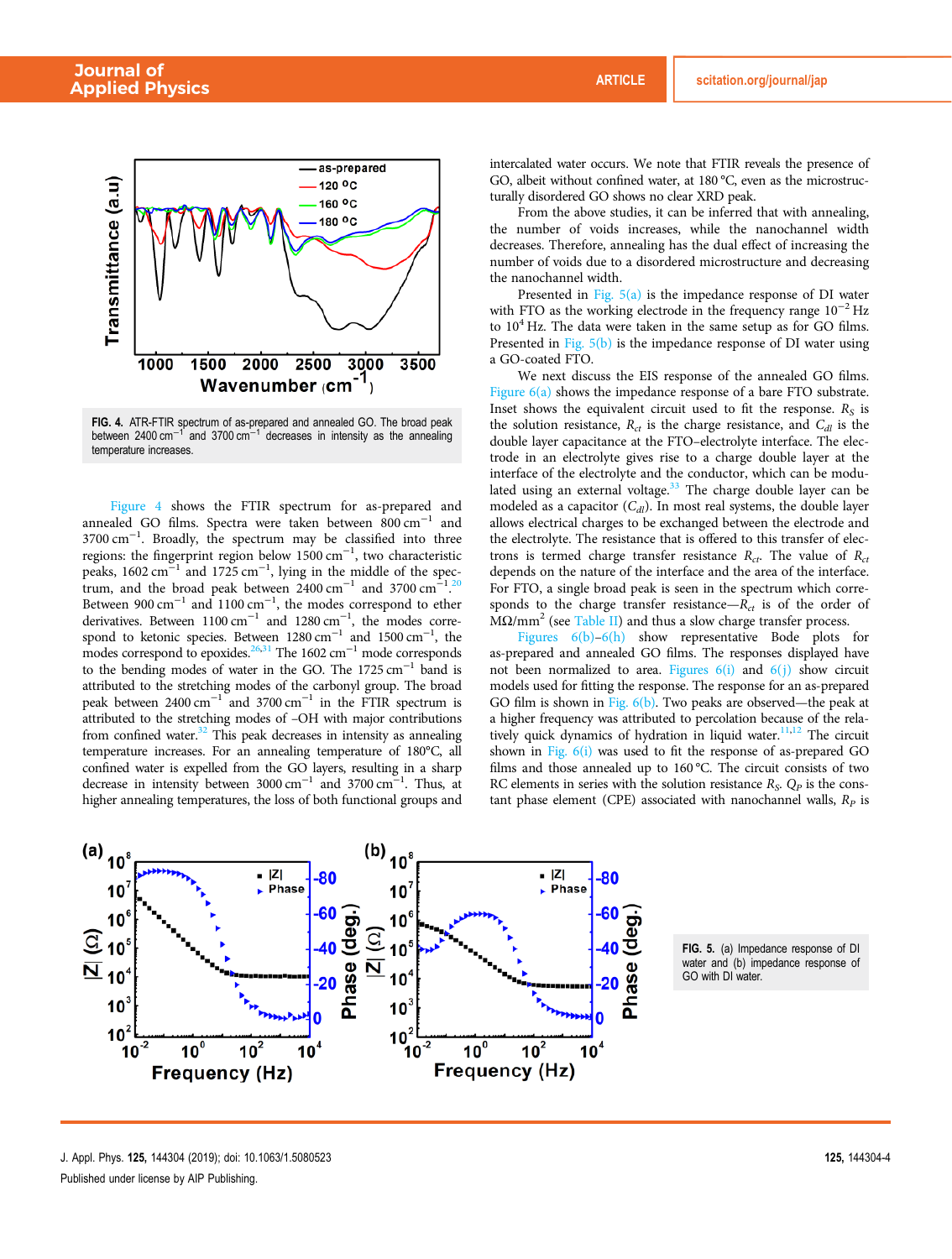

**FIG. 4.** ATR-FTIR spectrum of as-prepared and annealed GO. The broad peak<br>between 2400 cm<sup>−1</sup> and 3700 cm<sup>−1</sup> decreases in intensity as the annealing temperature increases.

Figure 4 shows the FTIR spectrum for as-prepared and annealed GO films. Spectra were taken between 800 cm−<sup>1</sup> and 3700 cm−<sup>1</sup> . Broadly, the spectrum may be classified into three regions: the fingerprint region below 1500 cm−<sup>1</sup> , two characteristic peaks, 1602 cm<sup>-1</sup> and 1725 cm<sup>-1</sup>, lying in the middle of the spectrum, and the broad peak between  $2400 \text{ cm}^{-1}$  and 3700 cm<sup>-1</sup> trum, and the broad peak between  $2400 \text{ cm}^{-1}$  and  $3700 \text{ cm}^{-1}$ .<sup>20</sup><br>Between 900 cm<sup>-1</sup> and 1100 cm<sup>-1</sup>, the modes correspond to ether 20 derivatives. Between  $1100 \text{ cm}^{-1}$  and  $1280 \text{ cm}^{-1}$ , the modes correspond to ketonic species. Between  $1280 \text{ cm}^{-1}$  and  $1500 \text{ cm}^{-1}$ , the modes correspond to epoxides.<sup>26,31</sup> The 1602 cm<sup>-1</sup> mode corresponds to the bending modes of water in the GO. The 1725 cm−<sup>1</sup> band is attributed to the stretching modes of the carbonyl group. The broad peak between 2400 cm<sup>-1</sup> and 3700 cm<sup>-1</sup> in the FTIR spectrum is attributed to the stretching modes of –OH with major contributions from confined water. $32$  This peak decreases in intensity as annealing temperature increases. For an annealing temperature of 180°C, all confined water is expelled from the GO layers, resulting in a sharp decrease in intensity between  $3000 \text{ cm}^{-1}$  and  $3700 \text{ cm}^{-1}$ . Thus, at higher annealing temperatures, the loss of both functional groups and

intercalated water occurs. We note that FTIR reveals the presence of GO, albeit without confined water, at 180 °C, even as the microstructurally disordered GO shows no clear XRD peak.

From the above studies, it can be inferred that with annealing, the number of voids increases, while the nanochannel width decreases. Therefore, annealing has the dual effect of increasing the number of voids due to a disordered microstructure and decreasing the nanochannel width.

Presented in Fig.  $5(a)$  is the impedance response of DI water with FTO as the working electrode in the frequency range  $10^{-2}$  Hz to  $10^4$  Hz. The data were taken in the same setup as for GO films. Presented in Fig. 5(b) is the impedance response of DI water using a GO-coated FTO.

We next discuss the EIS response of the annealed GO films. Figure 6(a) shows the impedance response of a bare FTO substrate. Inset shows the equivalent circuit used to fit the response.  $R_S$  is the solution resistance,  $R_{ct}$  is the charge resistance, and  $C_{d*l*}$  is the double layer capacitance at the FTO–electrolyte interface. The electrode in an electrolyte gives rise to a charge double layer at the interface of the electrolyte and the conductor, which can be modulated using an external voltage.<sup>33</sup> The charge double layer can be modeled as a capacitor (*Cdl*). In most real systems, the double layer allows electrical charges to be exchanged between the electrode and the electrolyte. The resistance that is offered to this transfer of electrons is termed charge transfer resistance  $R_{ct}$ . The value of  $R_{ct}$ depends on the nature of the interface and the area of the interface. For FTO, a single broad peak is seen in the spectrum which corresponds to the charge transfer resistance— $R_{ct}$  is of the order of  $\rm M\Omega/mm^2$  (see Table II) and thus a slow charge transfer process.

Figures  $6(b)$ – $6(h)$  show representative Bode plots for as-prepared and annealed GO films. The responses displayed have not been normalized to area. Figures  $6(i)$  and  $6(j)$  show circuit models used for fitting the response. The response for an as-prepared GO film is shown in Fig. 6(b). Two peaks are observed—the peak at a higher frequency was attributed to percolation because of the relatively quick dynamics of hydration in liquid water.<sup>11,12</sup> The circuit shown in Fig.  $6(i)$  was used to fit the response of as-prepared GO films and those annealed up to 160 °C. The circuit consists of two RC elements in series with the solution resistance *R<sup>S</sup>* . *Q<sup>P</sup>* is the constant phase element (CPE) associated with nanochannel walls,  $R_p$  is



FIG. 5. (a) Impedance response of DI water and (b) impedance response of GO with DI water.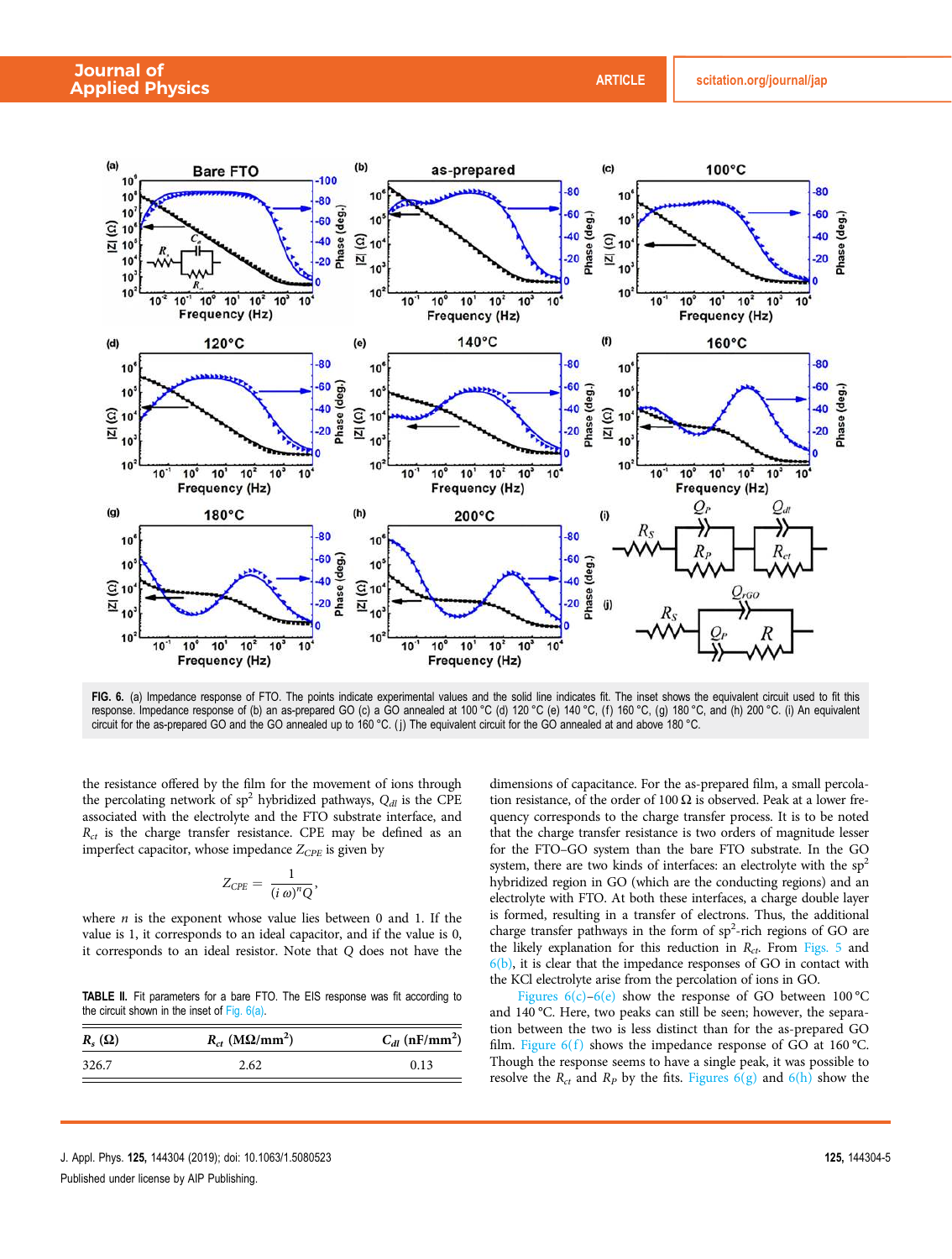

FIG. 6. (a) Impedance response of FTO. The points indicate experimental values and the solid line indicates fit. The inset shows the equivalent circuit used to fit this response. Impedance response of (b) an as-prepared GO (c) a GO annealed at 100 °C (d) 120 °C (e) 140 °C, (f) 160 °C, (g) 180 °C, and (h) 200 °C. (i) An equivalent circuit for the as-prepared GO and the GO annealed up to 160 °C. ( j) The equivalent circuit for the GO annealed at and above 180 °C.

the resistance offered by the film for the movement of ions through the percolating network of sp<sup>2</sup> hybridized pathways,  $Q_{d}$  is the CPE associated with the electrolyte and the FTO substrate interface, and *Rct* is the charge transfer resistance. CPE may be defined as an imperfect capacitor, whose impedance *ZCPE* is given by

$$
Z_{CPE} = \frac{1}{(i\ \omega)^n Q},
$$

where *n* is the exponent whose value lies between 0 and 1. If the value is 1, it corresponds to an ideal capacitor, and if the value is 0, it corresponds to an ideal resistor. Note that *Q* does not have the

TABLE II. Fit parameters for a bare FTO. The EIS response was fit according to the circuit shown in the inset of Fig. 6(a).

| $R_s(\Omega)$ | $R_{ct}$ (M $\Omega$ /mm <sup>2</sup> ) | $C_{dl}$ (nF/mm <sup>2</sup> ) |
|---------------|-----------------------------------------|--------------------------------|
| 326.7         | 2.62                                    | 0.13                           |

dimensions of capacitance. For the as-prepared film, a small percolation resistance, of the order of 100  $\Omega$  is observed. Peak at a lower frequency corresponds to the charge transfer process. It is to be noted that the charge transfer resistance is two orders of magnitude lesser for the FTO–GO system than the bare FTO substrate. In the GO system, there are two kinds of interfaces: an electrolyte with the  $sp<sup>2</sup>$ hybridized region in GO (which are the conducting regions) and an electrolyte with FTO. At both these interfaces, a charge double layer is formed, resulting in a transfer of electrons. Thus, the additional charge transfer pathways in the form of  $sp<sup>2</sup>$ -rich regions of GO are the likely explanation for this reduction in *Rct*. From Figs. 5 and  $6(b)$ , it is clear that the impedance responses of GO in contact with the KCl electrolyte arise from the percolation of ions in GO.

Figures  $6(c)$ – $6(e)$  show the response of GO between 100 °C and 140 °C. Here, two peaks can still be seen; however, the separation between the two is less distinct than for the as-prepared GO film. Figure  $6(f)$  shows the impedance response of GO at 160 °C. Though the response seems to have a single peak, it was possible to resolve the  $R_{ct}$  and  $R_p$  by the fits. Figures  $6(g)$  and  $6(h)$  show the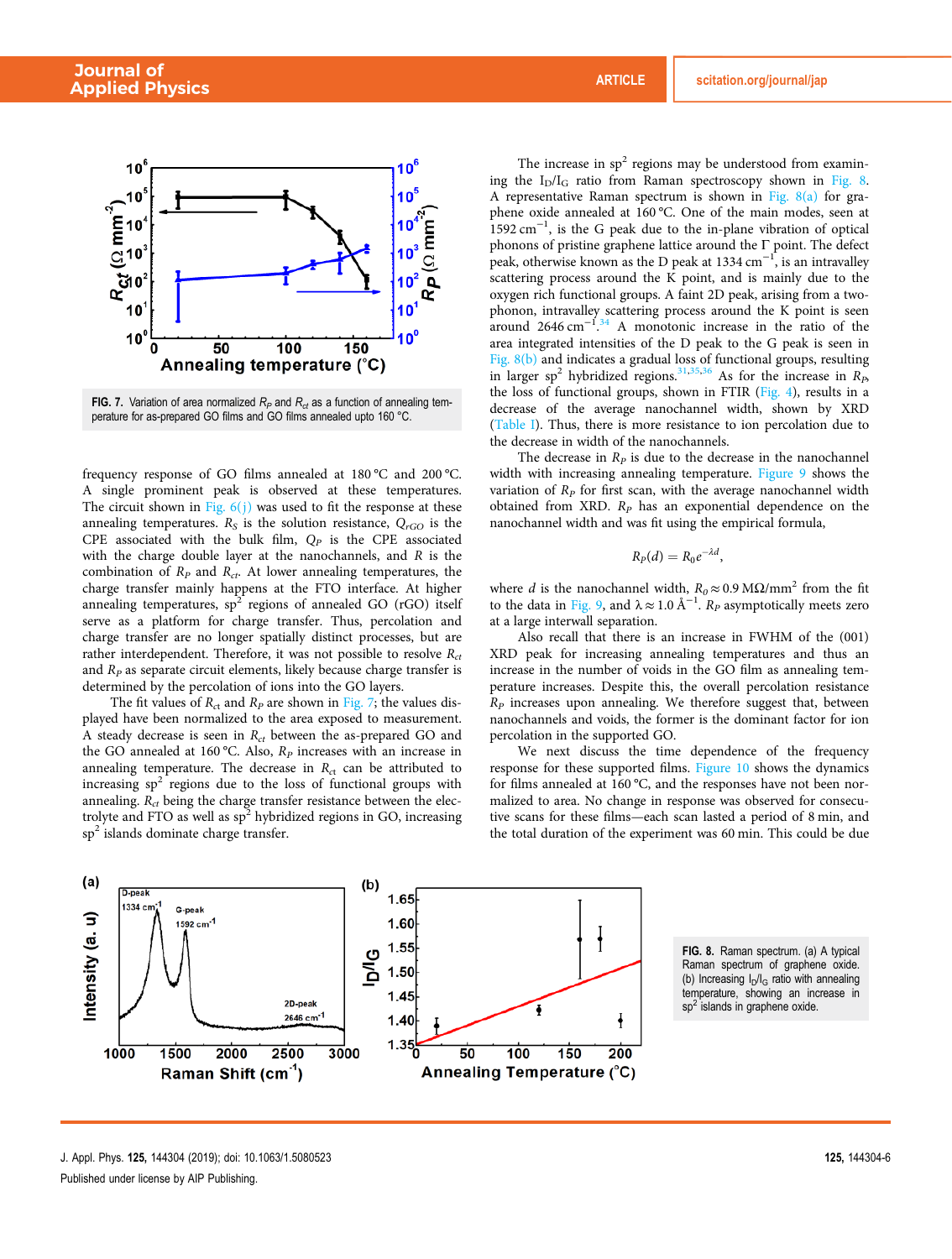

FIG. 7. Variation of area normalized  $R_P$  and  $R_{ct}$  as a function of annealing temperature for as-prepared GO films and GO films annealed upto 160 °C.

frequency response of GO films annealed at 180 °C and 200 °C. A single prominent peak is observed at these temperatures. The circuit shown in Fig.  $6(j)$  was used to fit the response at these annealing temperatures. *R<sup>S</sup>* is the solution resistance, *QrGO* is the CPE associated with the bulk film,  $Q_P$  is the CPE associated with the charge double layer at the nanochannels, and *R* is the combination of *R<sup>P</sup>* and *Rct*. At lower annealing temperatures, the charge transfer mainly happens at the FTO interface. At higher annealing temperatures,  $sp^2$  regions of annealed GO (rGO) itself serve as a platform for charge transfer. Thus, percolation and charge transfer are no longer spatially distinct processes, but are rather interdependent. Therefore, it was not possible to resolve *Rct* and *R<sup>P</sup>* as separate circuit elements, likely because charge transfer is determined by the percolation of ions into the GO layers.

The fit values of  $R_{ct}$  and  $R_p$  are shown in Fig. 7; the values displayed have been normalized to the area exposed to measurement. A steady decrease is seen in *Rct* between the as-prepared GO and the GO annealed at 160 °C. Also, *R<sup>P</sup>* increases with an increase in annealing temperature. The decrease in  $R<sub>ct</sub>$  can be attributed to increasing  $sp^2$  regions due to the loss of functional groups with annealing. *Rct* being the charge transfer resistance between the electrolyte and FTO as well as sp<sup>2</sup> hybridized regions in GO, increasing sp<sup>2</sup> islands dominate charge transfer.

The increase in  $sp<sup>2</sup>$  regions may be understood from examining the  $I_D/I_G$  ratio from Raman spectroscopy shown in Fig. 8. A representative Raman spectrum is shown in Fig. 8(a) for graphene oxide annealed at 160 °C. One of the main modes, seen at  $1592 \text{ cm}^{-1}$ , is the G peak due to the in-plane vibration of optical phonons of pristine graphene lattice around the  $\Gamma$  point. The defect peak, otherwise known as the D peak at 1334 cm<sup>-1</sup>, is an intravalley scattering process around the K point, and is mainly due to the oxygen rich functional groups. A faint 2D peak, arising from a twophonon, intravalley scattering process around the K point is seen around  $2646 \text{ cm}^{-1}$ .<sup>34</sup> A monotonic increase in the ratio of the area integrated intensities of the D peak to the G peak is seen in Fig. 8(b) and indicates a gradual loss of functional groups, resulting in larger sp<sup>2</sup> hybridized regions.<sup>31,35,36</sup> As for the increase in  $R_P$ the loss of functional groups, shown in FTIR (Fig. 4), results in a decrease of the average nanochannel width, shown by XRD (Table I). Thus, there is more resistance to ion percolation due to the decrease in width of the nanochannels.

The decrease in  $R_p$  is due to the decrease in the nanochannel width with increasing annealing temperature. Figure 9 shows the variation of *R<sup>P</sup>* for first scan, with the average nanochannel width obtained from XRD. *R<sup>P</sup>* has an exponential dependence on the nanochannel width and was fit using the empirical formula,

$$
R_P(d)=R_0e^{-\lambda d},
$$

where *d* is the nanochannel width,  $R_0 \approx 0.9$  MΩ/mm<sup>2</sup> from the fit to the data in Fig. 9, and  $\lambda \approx 1.0 \text{ Å}^{-1}$ .  $R_P$  asymptotically meets zero at a large interwall separation.

Also recall that there is an increase in FWHM of the (001) XRD peak for increasing annealing temperatures and thus an increase in the number of voids in the GO film as annealing temperature increases. Despite this, the overall percolation resistance *R<sup>P</sup>* increases upon annealing. We therefore suggest that, between nanochannels and voids, the former is the dominant factor for ion percolation in the supported GO.

We next discuss the time dependence of the frequency response for these supported films. Figure 10 shows the dynamics for films annealed at 160 °C, and the responses have not been normalized to area. No change in response was observed for consecutive scans for these films—each scan lasted a period of 8 min, and the total duration of the experiment was 60 min. This could be due



FIG. 8. Raman spectrum. (a) A typical Raman spectrum of graphene oxide. (b) Increasing  $I_D/I_G$  ratio with annealing temperature, showing an increase in sp<sup>2</sup> islands in graphene oxide.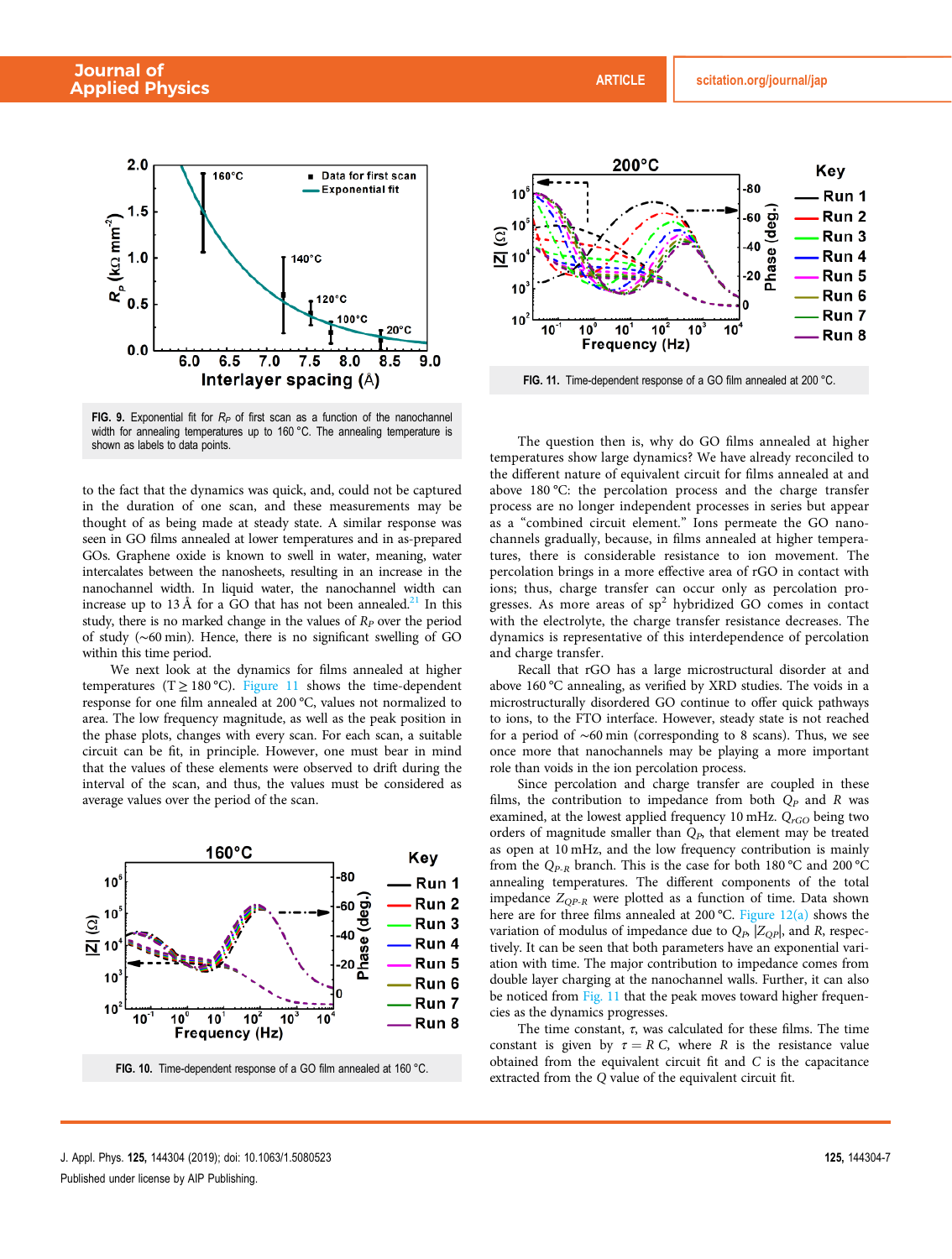

FIG. 9. Exponential fit for  $R_P$  of first scan as a function of the nanochannel width for annealing temperatures up to 160 °C. The annealing temperature is shown as labels to data points.

to the fact that the dynamics was quick, and, could not be captured in the duration of one scan, and these measurements may be thought of as being made at steady state. A similar response was seen in GO films annealed at lower temperatures and in as-prepared GOs. Graphene oxide is known to swell in water, meaning, water intercalates between the nanosheets, resulting in an increase in the nanochannel width. In liquid water, the nanochannel width can increase up to 13 Å for a GO that has not been annealed.<sup>21</sup> In this study, there is no marked change in the values of  $R<sub>P</sub>$  over the period of study (∼60 min). Hence, there is no significant swelling of GO within this time period.

We next look at the dynamics for films annealed at higher temperatures (T  $\geq$  180 °C). Figure 11 shows the time-dependent response for one film annealed at 200 °C, values not normalized to area. The low frequency magnitude, as well as the peak position in the phase plots, changes with every scan. For each scan, a suitable circuit can be fit, in principle. However, one must bear in mind that the values of these elements were observed to drift during the interval of the scan, and thus, the values must be considered as average values over the period of the scan.



FIG. 10. Time-dependent response of a GO film annealed at 160 °C.



The question then is, why do GO films annealed at higher temperatures show large dynamics? We have already reconciled to the different nature of equivalent circuit for films annealed at and above 180 °C: the percolation process and the charge transfer process are no longer independent processes in series but appear as a "combined circuit element." Ions permeate the GO nanochannels gradually, because, in films annealed at higher temperatures, there is considerable resistance to ion movement. The percolation brings in a more effective area of rGO in contact with ions; thus, charge transfer can occur only as percolation progresses. As more areas of  $sp^2$  hybridized GO comes in contact with the electrolyte, the charge transfer resistance decreases. The dynamics is representative of this interdependence of percolation and charge transfer.

Recall that rGO has a large microstructural disorder at and above 160 °C annealing, as verified by XRD studies. The voids in a microstructurally disordered GO continue to offer quick pathways to ions, to the FTO interface. However, steady state is not reached for a period of ∼60 min (corresponding to 8 scans). Thus, we see once more that nanochannels may be playing a more important role than voids in the ion percolation process.

Since percolation and charge transfer are coupled in these films, the contribution to impedance from both  $Q_P$  and  $R$  was examined, at the lowest applied frequency 10 mHz.  $Q_{rGO}$  being two orders of magnitude smaller than *QP*, that element may be treated as open at 10 mHz, and the low frequency contribution is mainly from the *QP*-*<sup>R</sup>* branch. This is the case for both 180 °C and 200 °C annealing temperatures. The different components of the total impedance  $Z_{OP-R}$  were plotted as a function of time. Data shown here are for three films annealed at 200 °C. Figure 12(a) shows the variation of modulus of impedance due to  $Q_P$ ,  $|Z_{OP}|$ , and *R*, respectively. It can be seen that both parameters have an exponential variation with time. The major contribution to impedance comes from double layer charging at the nanochannel walls. Further, it can also be noticed from Fig. 11 that the peak moves toward higher frequencies as the dynamics progresses.

The time constant,  $\tau$ , was calculated for these films. The time constant is given by  $\tau = R C$ , where *R* is the resistance value obtained from the equivalent circuit fit and *C* is the capacitance extracted from the *Q* value of the equivalent circuit fit.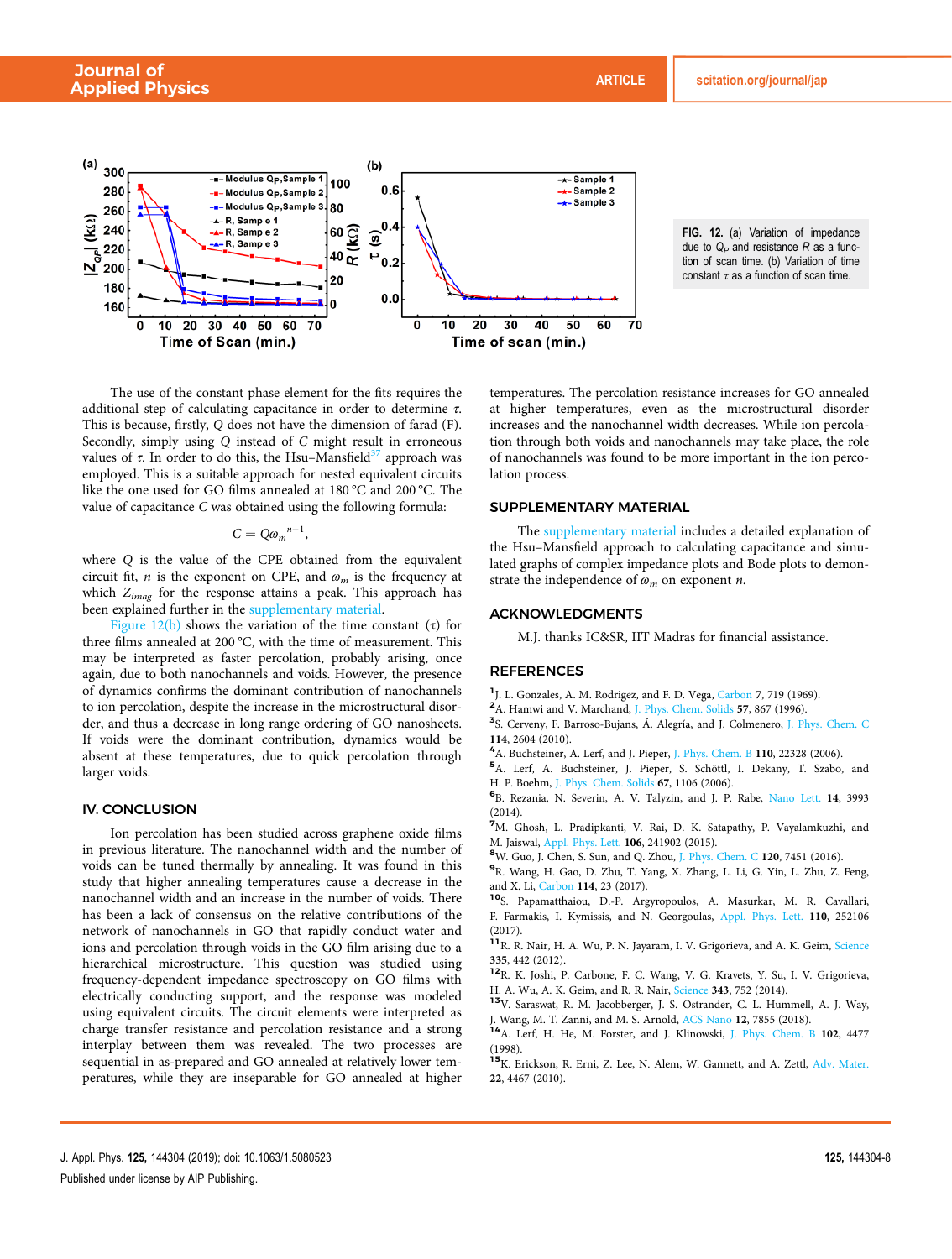

FIG. 12. (a) Variation of impedance due to  $Q_P$  and resistance R as a function of scan time. (b) Variation of time constant  $\tau$  as a function of scan time.

The use of the constant phase element for the fits requires the additional step of calculating capacitance in order to determine  $\tau$ . This is because, firstly, *Q* does not have the dimension of farad (F). Secondly, simply using *Q* instead of *C* might result in erroneous values of  $\tau$ . In order to do this, the Hsu–Mansfield<sup>37</sup> approach was employed. This is a suitable approach for nested equivalent circuits like the one used for GO films annealed at 180 °C and 200 °C. The value of capacitance *C* was obtained using the following formula:

$$
C=Q\omega_m^{n-1},
$$

where *Q* is the value of the CPE obtained from the equivalent circuit fit,  $n$  is the exponent on CPE, and  $\omega_m$  is the frequency at which *Zimag* for the response attains a peak. This approach has been explained further in the supplementary material.

Figure  $12(b)$  shows the variation of the time constant (τ) for three films annealed at 200 °C, with the time of measurement. This may be interpreted as faster percolation, probably arising, once again, due to both nanochannels and voids. However, the presence of dynamics confirms the dominant contribution of nanochannels to ion percolation, despite the increase in the microstructural disorder, and thus a decrease in long range ordering of GO nanosheets. If voids were the dominant contribution, dynamics would be absent at these temperatures, due to quick percolation through larger voids.

# IV. CONCLUSION

Ion percolation has been studied across graphene oxide films in previous literature. The nanochannel width and the number of voids can be tuned thermally by annealing. It was found in this study that higher annealing temperatures cause a decrease in the nanochannel width and an increase in the number of voids. There has been a lack of consensus on the relative contributions of the network of nanochannels in GO that rapidly conduct water and ions and percolation through voids in the GO film arising due to a hierarchical microstructure. This question was studied using frequency-dependent impedance spectroscopy on GO films with electrically conducting support, and the response was modeled using equivalent circuits. The circuit elements were interpreted as charge transfer resistance and percolation resistance and a strong interplay between them was revealed. The two processes are sequential in as-prepared and GO annealed at relatively lower temperatures, while they are inseparable for GO annealed at higher temperatures. The percolation resistance increases for GO annealed at higher temperatures, even as the microstructural disorder increases and the nanochannel width decreases. While ion percolation through both voids and nanochannels may take place, the role of nanochannels was found to be more important in the ion percolation process.

# SUPPLEMENTARY MATERIAL

The supplementary material includes a detailed explanation of the Hsu–Mansfield approach to calculating capacitance and simulated graphs of complex impedance plots and Bode plots to demonstrate the independence of ω*<sup>m</sup>* on exponent *n*.

# ACKNOWLEDGMENTS

M.J. thanks IC&SR, IIT Madras for financial assistance.

# REFERENCES

- <sup>1</sup> J. L. Gonzales, A. M. Rodrigez, and F. D. Vega, Carbon 7, 719 (1969).
- <sup>2</sup>A. Hamwi and V. Marchand, J. Phys. Chem. Solids 57, 867 (1996).
- <sup>3</sup>S. Cerveny, F. Barroso-Bujans, Á. Alegría, and J. Colmenero, J. Phys. Chem. C 114, 2604 (2010).
- <sup>4</sup>A. Buchsteiner, A. Lerf, and J. Pieper, J. Phys. Chem. B 110, 22328 (2006).
- <sup>5</sup>A. Lerf, A. Buchsteiner, J. Pieper, S. Schöttl, I. Dekany, T. Szabo, and H. P. Boehm, J. Phys. Chem. Solids 67, 1106 (2006).
- 6 B. Rezania, N. Severin, A. V. Talyzin, and J. P. Rabe, Nano Lett. 14, 3993 (2014).
- <sup>7</sup>M. Ghosh, L. Pradipkanti, V. Rai, D. K. Satapathy, P. Vayalamkuzhi, and M. Jaiswal, Appl. Phys. Lett. 106, 241902 (2015).
- <sup>8</sup>W. Guo, J. Chen, S. Sun, and Q. Zhou, J. Phys. Chem. C 120, 7451 (2016).
- 9 R. Wang, H. Gao, D. Zhu, T. Yang, X. Zhang, L. Li, G. Yin, L. Zhu, Z. Feng, and X. Li, Carbon 114, 23 (2017).
- <sup>10</sup>S. Papamatthaiou, D.-P. Argyropoulos, A. Masurkar, M. R. Cavallari, F. Farmakis, I. Kymissis, and N. Georgoulas, Appl. Phys. Lett. 110, 252106 (2017).
- <sup>11</sup>R. R. Nair, H. A. Wu, P. N. Jayaram, I. V. Grigorieva, and A. K. Geim, Science 335, 442 (2012).
- <sup>12</sup>R. K. Joshi, P. Carbone, F. C. Wang, V. G. Kravets, Y. Su, I. V. Grigorieva, H. A. Wu, A. K. Geim, and R. R. Nair, Science 343, 752 (2014).
- <sup>13</sup>V. Saraswat, R. M. Jacobberger, J. S. Ostrander, C. L. Hummell, A. J. Way, J. Wang, M. T. Zanni, and M. S. Arnold, ACS Nano 12, 7855 (2018).
- <sup>14</sup>A. Lerf, H. He, M. Forster, and J. Klinowski, J. Phys. Chem. B 102, 4477 (1998).
- <sup>15</sup>K. Erickson, R. Erni, Z. Lee, N. Alem, W. Gannett, and A. Zettl, Adv. Mater. 22, 4467 (2010).